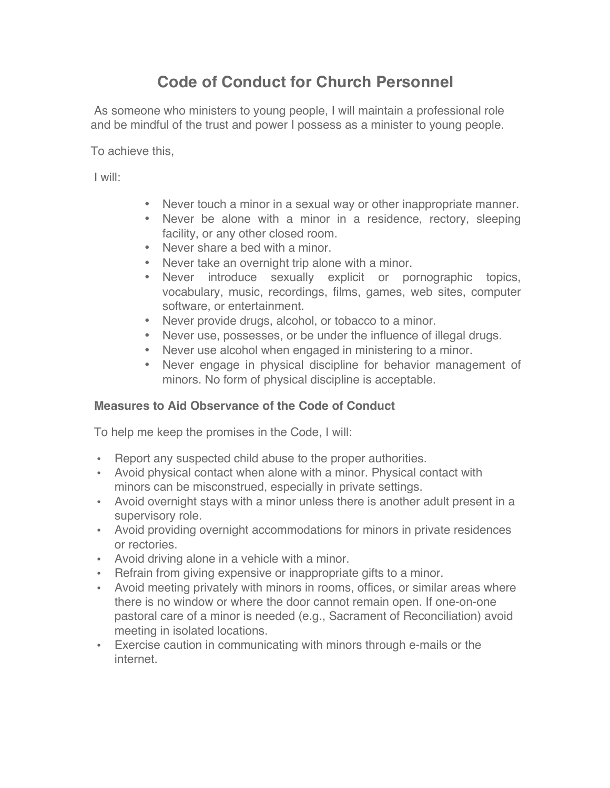# **Code of Conduct for Church Personnel**

As someone who ministers to young people, I will maintain a professional role and be mindful of the trust and power I possess as a minister to young people.

To achieve this,

I will:

- Never touch a minor in a sexual way or other inappropriate manner.
- Never be alone with a minor in a residence, rectory, sleeping facility, or any other closed room.
- Never share a bed with a minor.
- Never take an overnight trip alone with a minor.
- Never introduce sexually explicit or pornographic topics, vocabulary, music, recordings, films, games, web sites, computer software, or entertainment.
- Never provide drugs, alcohol, or tobacco to a minor.
- Never use, possesses, or be under the influence of illegal drugs.
- Never use alcohol when engaged in ministering to a minor.
- Never engage in physical discipline for behavior management of minors. No form of physical discipline is acceptable.

# **Measures to Aid Observance of the Code of Conduct**

To help me keep the promises in the Code, I will:

- Report any suspected child abuse to the proper authorities.
- Avoid physical contact when alone with a minor. Physical contact with minors can be misconstrued, especially in private settings.
- Avoid overnight stays with a minor unless there is another adult present in a supervisory role.
- Avoid providing overnight accommodations for minors in private residences or rectories.
- Avoid driving alone in a vehicle with a minor.
- Refrain from giving expensive or inappropriate gifts to a minor.
- Avoid meeting privately with minors in rooms, offices, or similar areas where there is no window or where the door cannot remain open. If one-on-one pastoral care of a minor is needed (e.g., Sacrament of Reconciliation) avoid meeting in isolated locations.
- Exercise caution in communicating with minors through e-mails or the internet.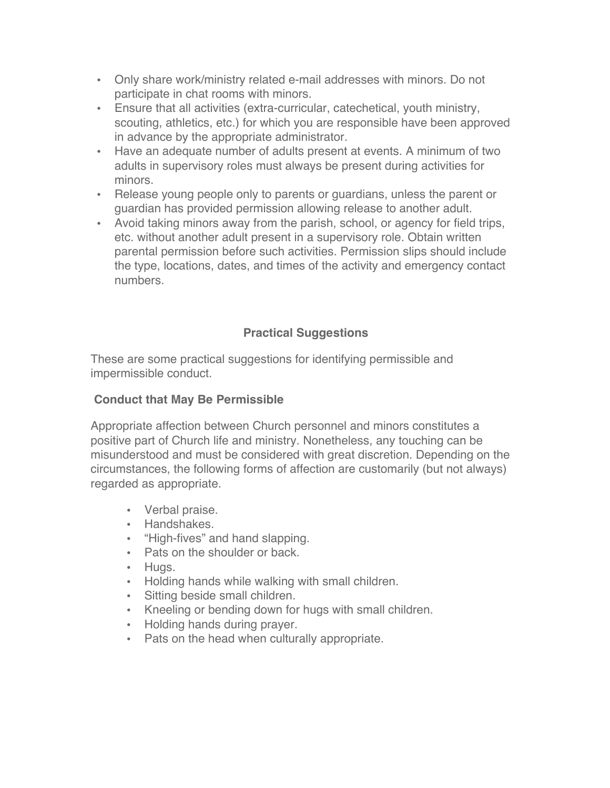- Only share work/ministry related e-mail addresses with minors. Do not participate in chat rooms with minors.
- Ensure that all activities (extra-curricular, catechetical, youth ministry, scouting, athletics, etc.) for which you are responsible have been approved in advance by the appropriate administrator.
- Have an adequate number of adults present at events. A minimum of two adults in supervisory roles must always be present during activities for minors.
- Release young people only to parents or guardians, unless the parent or guardian has provided permission allowing release to another adult.
- Avoid taking minors away from the parish, school, or agency for field trips, etc. without another adult present in a supervisory role. Obtain written parental permission before such activities. Permission slips should include the type, locations, dates, and times of the activity and emergency contact numbers.

# **Practical Suggestions**

These are some practical suggestions for identifying permissible and impermissible conduct.

## **Conduct that May Be Permissible**

Appropriate affection between Church personnel and minors constitutes a positive part of Church life and ministry. Nonetheless, any touching can be misunderstood and must be considered with great discretion. Depending on the circumstances, the following forms of affection are customarily (but not always) regarded as appropriate.

- Verbal praise.
- Handshakes.
- "High-fives" and hand slapping.
- Pats on the shoulder or back.
- Hugs.
- Holding hands while walking with small children.
- Sitting beside small children.
- Kneeling or bending down for hugs with small children.
- Holding hands during prayer.
- Pats on the head when culturally appropriate.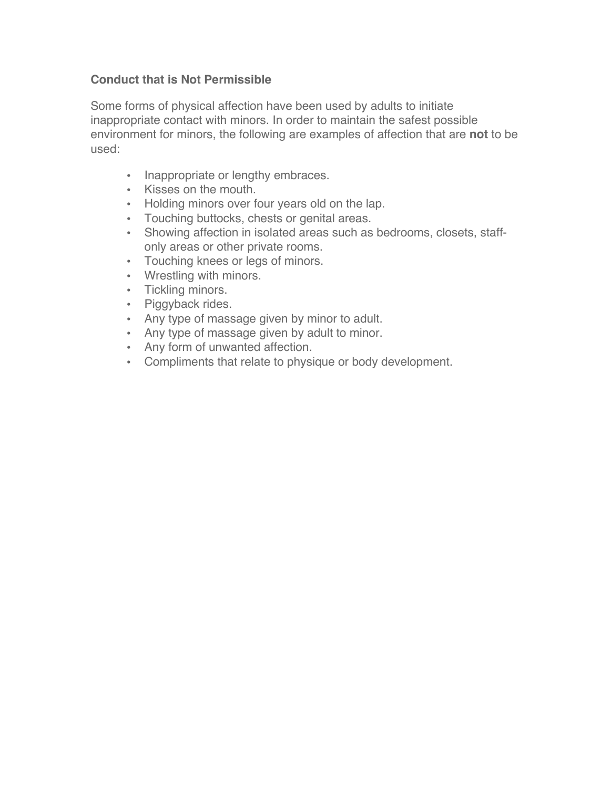### **Conduct that is Not Permissible**

Some forms of physical affection have been used by adults to initiate inappropriate contact with minors. In order to maintain the safest possible environment for minors, the following are examples of affection that are **not** to be used:

- Inappropriate or lengthy embraces.
- Kisses on the mouth.
- Holding minors over four years old on the lap.
- Touching buttocks, chests or genital areas.
- Showing affection in isolated areas such as bedrooms, closets, staffonly areas or other private rooms.
- Touching knees or legs of minors.
- Wrestling with minors.
- Tickling minors.
- Piggyback rides.
- Any type of massage given by minor to adult.
- Any type of massage given by adult to minor.
- Any form of unwanted affection.
- Compliments that relate to physique or body development.